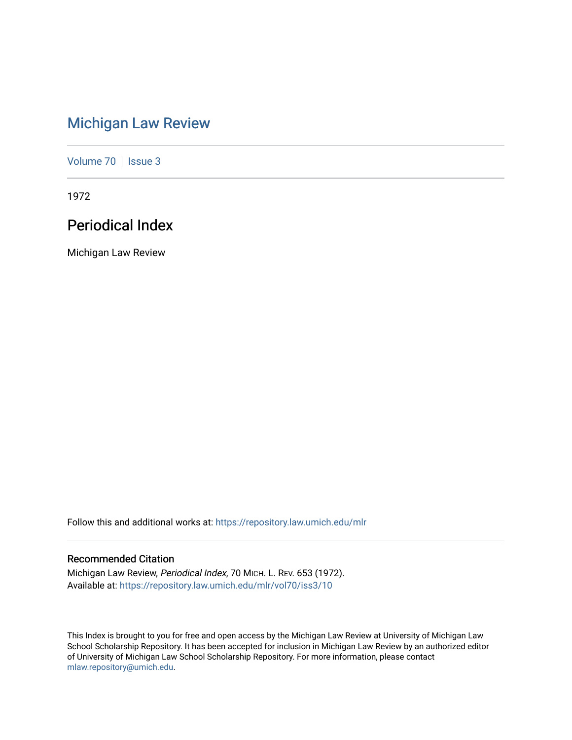# [Michigan Law Review](https://repository.law.umich.edu/mlr)

[Volume 70](https://repository.law.umich.edu/mlr/vol70) | [Issue 3](https://repository.law.umich.edu/mlr/vol70/iss3)

1972

## Periodical Index

Michigan Law Review

Follow this and additional works at: [https://repository.law.umich.edu/mlr](https://repository.law.umich.edu/mlr?utm_source=repository.law.umich.edu%2Fmlr%2Fvol70%2Fiss3%2F10&utm_medium=PDF&utm_campaign=PDFCoverPages) 

## Recommended Citation

Michigan Law Review, Periodical Index, 70 MICH. L. REV. 653 (1972). Available at: [https://repository.law.umich.edu/mlr/vol70/iss3/10](https://repository.law.umich.edu/mlr/vol70/iss3/10?utm_source=repository.law.umich.edu%2Fmlr%2Fvol70%2Fiss3%2F10&utm_medium=PDF&utm_campaign=PDFCoverPages) 

This Index is brought to you for free and open access by the Michigan Law Review at University of Michigan Law School Scholarship Repository. It has been accepted for inclusion in Michigan Law Review by an authorized editor of University of Michigan Law School Scholarship Repository. For more information, please contact [mlaw.repository@umich.edu.](mailto:mlaw.repository@umich.edu)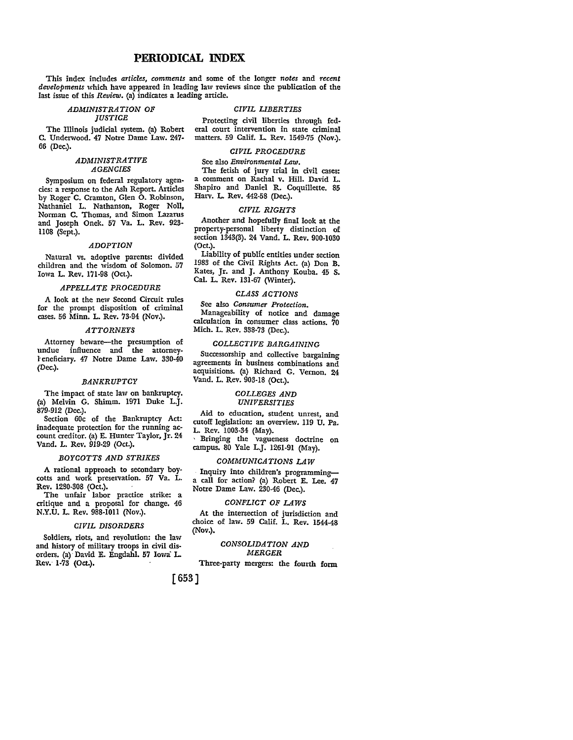## **PERIODICAL INDEX**

This index includes *articles, comments* and some of the longer *notes* and *recent developments* which have appeared in leading law reviews since the publication of the last issue of this *Review.* (a) indicates a leading article.

#### *ADMINISTRATION OF JUSTICE*

The Illinois judicial system. (a) Robert C. Underwood. 47 Notre Dame Law. 247- 66 (Dec.).

#### *ADMINISTRATIVE AGENCIES*

Symposium on federal regulatory agencies: a response to the Ash Report. Articles by Roger C. Cramton, Glen O. Robinson, Nathaniel L. Nathanson, Roger Noll, Norman C. Thomas, and Simon Lazarus and Joseph Onek. 57 Va. L. Rev. 923- 1108 (Sept.).

#### *ADOPTION*

Natural vs. adoptive parents: divided children and the wisdom of Solomon. 57 Iowa L. Rev. 171-98 (Oct.).

#### *APPELLATE PROCEDURE*

A look at the new Second Circuit rules for the prompt disposition of criminal cases. 56 Minn. L. Rev. 73-94 (Nov.).

#### *ATTORNEYS*

Attorney beware-the presumption of undue influence and the attorneyl encficiary. 47 Notre Dame Law. 330-40 (Dec.).

#### *BANKRUPTCY*

The impact of state law on bankruptcy. (a) Melvin G. Shimm. 1971 Duke **L.J.**  879-912 (Dec.).

Section 60c of the Bankruptcy Act: inadequate protection for the running account creditor. (a) E. Hunter Taylor, Jr. 24 Vand. L. Rev. 919-29 (Oct.).

#### *BOYCOTTS AND STRIKES*

A rational approach to secondary boycotts and work preservation. 57 Va. L. Rev. 1280-308 (Oct.).

The unfair labor practice strike: a critique and a proposal for change. 46 N.Y.U. L. Rev. 988-1011 (Nov.).

#### *CIVIL DISORDERS*

Soldiers, riots, and reyolution: the law and history of military troops in civil disorders. (a)· David E. Engdahl. 57 Iowa L. **Rev. 1-73 (Oct.).** 

#### *CIVIL LIBERTIES*

Protecting civil liberties through federal court intervention in state criminal matters. 59 Calif. L. Rev. 1549-75 (Nov.).

#### *CIVIL PROCEDURE*

See also *Environmental Law.* 

The fetish of jury trial in civil cases: a comment on Rachal v. Hill. David L. Shapiro and Daniel R. Coquillette. 85 Harv. L. Rev. 442-58 (Dec.).

#### *CIVIL RIGHTS*

Another and hopefully final look at the property-personal liberty distinction of section 1343(3). 24 Vand. L. Rev. 900-1030 (Oct.).

Liability of public entities under section 1983 of the Civil Rights Act. (a) Don B. Kates, Jr. and J. Anthony Kouba. 45 **S.**  Cal. L. Rev. 131-67 (Winter).

#### *CLASS ACTIONS*

See also *Consumer Protection.*  Manageability of notice and damage calculation in consumer class actions. 70 Mich. L. Rev. 338-73 (Dec.).

## *COLLECTIVE BARGAINING*

Successorship and collective bargaining agreements in business combinations and acquisitions. (a) Richard G. Vernon. 24 Vand. L. Rev. 903-18 (Oct.).

#### *COLLEGES AND UNIVERSITIES*

## Aid to education, student unrest, and

cutoff legislation: an overview. 119 U. Pa. L. Rev. 1003-34 (May). Bringing the vagueness doctrine on

campus. 80 Yale L.J. 1261-91 (May).

## *COMMUNICATIONS LAW*

· Inquiry into children's programminga call for action? (a) Robert E. Lee. 47 Notre Dame Law. 230-46 (Dec.).

#### *CONFLICT OF LAWS*

At the intersection of jurisdiction and choice of law. 59 Calif. L. Rev. 1544-48 (Nov.).

#### *CONSOLIDATION AND MERGER*

Three-party mergers: the fourth form

[653]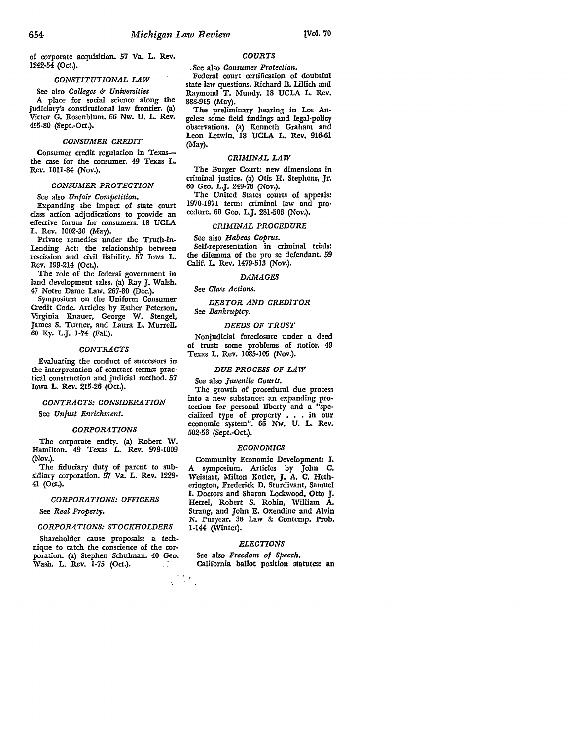of corporate acquisition. 57 Va. L. Rev. 1242-54 (Oct.).

## *CONSTITUTIONAL LAW*

See also *Colleges* & *Universities* A place for social science along the judiciary's constitutional law frontier. (a) Victor G. Rosenblum. 66 Nw. U. L. Rev. 455-80 (Sept.-Oct.).

## *CONSUMER CREDIT*

Consumer credit regulation in Texasthe case for the consumer. 49 Texas L. Rev. lOII-84 (Nov.).

## *CONSUMER PROTECTION*

See also *Unfair Competition.*  Expanding the impact of state court class action adjudications to provide an effective forum for consumers. 18 UCLA L. Rev. 1002-30 (May).

Private remedies under the Truth-in-Lending Act: the relationship between rescission and civil liability. 57 Iowa L. Rev. 199-214 (Oct.).

The role of the federal government in land development sales. (a) Ray J. Walsh. 47 Notre Dame Law. 267-80 (Dec.).

Symposium on the Uniform Consumer Credit Code. Articles by Esther Peterson, Virginia Knauer, George W. Stengel, James S. Turner, and Laura L. Murrell. 60 Ky. L.J. 1-74 (Fall).

#### *CONTRACTS*

Evaluating the conduct of successors in the interpretation of contract terms: practical construction and judicial method. 57 Iowa L. Rev. 215-26 (Oct.).

## *CONTRACTS: CONSIDERATION*  See *Unjust Enrichment.*

*CORPORA TIO NS* 

The corporate entity. (a) Robert W. Hamilton. 49 Texas L. Rev. 979-1009 (Nov.).

The fiduciary duty of parent to subsidiary corporation. 57 Va. L. Rev. 1223· 41 (Oct.).

#### *CORPORATIONS:OFFICERS*

See *Real Property.* 

#### *CORPORATION&STOCKHOLDERS*

Shareholder cause proposals: a technique to catch the conscience of the corporation. (a) Stephen Schulman. 40 Geo. Wash. L. Rev. 1-75 (Oct.).

 $\mathcal{L}_{\mathcal{L}}$ 

## *COURTS*

, See also *Consumer Protection.* 

Federal court certification of doubtful state law questions. Richard B. Lillich and Raymond T. Mundy. 18 UCLA L. Rev. 888-915 (May).

The preliminary hearing in Los An• geles: some field findings and legal-policy observations. (a) Kenneth Graham and Leon Letwin. 18 UCLA L. Rev. 916-61 (May).

#### *CRIMINAL LAW*

The Burger Court: new dimensions in criminal justice. (a) Otis H. Stephens, Jr. 60 Geo. L.J. 249-78 (Nov.).

The United States courts of appeals: 1970-1971 term: criminal law and pro• cedure. 60 Geo. L.J. 281-506 (Nov.).

#### *CRIMINAL PROCEDURE*

#### See also *Habeas Coprus.*

Self-representation in criminal trials: the dilemma of the pro se defendant. 59 Calif. L. Rev. 1479-513 (Nov.).

## *DAMAGES*

See *Class Actions.* 

## *DEBTOR AND CREDITOR*  See *Bankruptcy.*

#### *DEEDS OF TRUST*

Nonjudicial foreclosure under a deed of trust: some problems of notice. 49 Texas L. Rev. 1085-105 (Nov.).

#### *DUE PROCESS OF LAW*

See also *Juvenile Courts.* 

The growth of procedural due process into a new substance: an expanding pro• tection for personal liberty and a "spe• cialized type of property • • • in our economic system". 66 Nw. U. L. Rev. 502-53 (Sept.-Oct.).

#### *ECONOMICS*

Community Economic Development: I. A symposium. Articles by John C. Weistart, Milton Kotler, J. A. C. Heth• erington, Frederick D. Sturdivant, Samuel I. Doctors and Sharon Lockwood, Otto J, Hetzel, Robert S. Robin, William A. Strang, and John E. Oxendine and Alvin N. Puryear. 36 Law &: Contemp. Prob. 1-144 (Winter).

## *ELECTIONS*

See also *Freedom of Speech.*  California ballot position statutes: an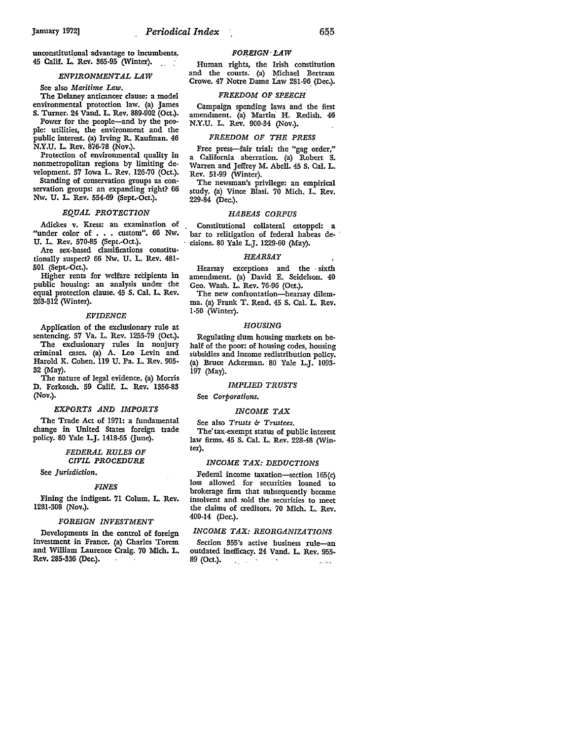unconstitutional advantage to incumbents\_. 45 Calif. L. Rev. 365-95 (Winter).

#### *ENVIRONMENTAL LAW*

See also *Maritime Law.* 

The Delaney anticancer clause: a model environmental protection law. (a) James S. Turner. 24 Vand. L. Rev. 889-902 (Oct.).

Power for the people-and by the peo• plc: utilities, the environment and the public interest. (a) Irving R. Kaufman. 46 N.Y.U. L. Rev. 876-78 (Nov.).

Protection of environmental quality in nonmetropolitan regions by limiting development. 57 Iowa L. Rev. 126-70 (Oct.).

Standing of conservation groups as conservation groups: an expanding right? 66 Nw. U. L. Rev. 554-69 (Sept.-Oct.).

## *EQUAL PROTECTION*

Adickes v. Kress: an examination of "under color of . . . custom". 66 Nw. U. L. Rev. 570-85 (Sept.-Oct.).

Are sex-based classifications constitutionally suspect? 66 Nw. U. L. Rev. 481-501 (Sept.-Oct.).

Higher rents for welfare recipients in public housing: an analysis under the equal protection clause. 45 S. Cal. L. Rev. 263-312 (Winter).

#### *EVIDENCE*

Application of the exclusionary rule at sentencing. 57 Va. L. Rev. 1255-79 (Oct.). The exclusionary rules in nonjury criminal cases. (a) A. Leo Levin and Harold K. Cohen. 119 U. Pa. L. Rev. 905-32 (May).

The nature of legal evidence. (a) Morris D. Forkosch. 59 Calif. L. Rev. 1356-83 (Nov.).

#### *EXPORTS AND IMPORTS*

The Trade Act of 1971: a fundamental change in United States foreign trade policy. 80 Yale L.J. 1418-55 (June).

#### *FEDERAL RULES OF CIVIL PROCEDURE*

See *Jurisdiction.* 

#### *FINES*

Fining the indigent. 71 Colum. L. Rev. 1281-308 (Nov.).

#### *FOREIGN INVESTMENT*

Developments in the control of foreign investment in France. (a) Charles Torem and William Laurence Craig. 70 Mich. L. Rev. 285-336 (Dec.).

 $FOREIGN: LAW$ 

Human rights, the Irish constitution and the courts. (a) Michael Bertram Crowe. 47 Notre Dame Law 281-96 (Dec.).

#### *FREEDOM OF SPEECH*

Campaign spending laws and the first amendment. (a) Martin H. Redish. 46 N.Y.U. L. Rev. 900-34 (Nov.).

#### *FREEDOM OF THE PRESS*

Free press-fair trial: the "gag order," a California aberration. (a) Robert S. Warren and Jeffrey M. Abell. 45 S. Cal. L. Rev. 51-99 (Winter).

The newsman's privilege: an empirical study. (a) Vince Blasi. 70 Mich. L. Rev. 229-84 (Dec.).

#### *HABEAS CORPUS*

Constitutional collateral estoppel: a bar to relitigation of federal habeas de-· cisions. 80 Yale L.J. 1229-60 (May).

#### *HEARSAY*

Hearsay exceptions and the • sixth amendment. (a) David E. Seidelson. 40 Geo. Wash. L. Rev. 76-96 (Oct.).

The new confrontation-hearsay dilemma. (a) Frank T. Read. 45 S. Cal. L. Rev. 1-50 (Winter).

#### *ROUSING*

Regulating slum housing markets on behalf of the poor: of housing codes, housing subsidies and income redistribution policy. (a) Bruce Ackerman. 80 Yale L.J. 1093- 197 (May).

## *IMPUED TRUSTS*

See *Corporations.* 

#### *INCOME TAX*

See also *Trusts b Trustees.*  The tax-exempt status of public interest law firms. 45 S. Cal. L. Rev. 228-48 (Winter).

#### *INCOME TAX: DEDUCTIONS*

Federal income taxation-section 165(c) loss allowed for securities loaned to brokerage firm that subsequently became insolvent and sold the securities to meet the claims of creditors. 70 Mich. L. Rev. 400-14 (Dec.).

## *INCOME TAX: REORGANIZATIONS*

Section 355's active business rule-an outdated inefficacy. 24 Vand. L. Rev. 955- 89 (Oct.).  $\sim$  $\mathcal{L}_\text{in} = \mathcal{L}$  .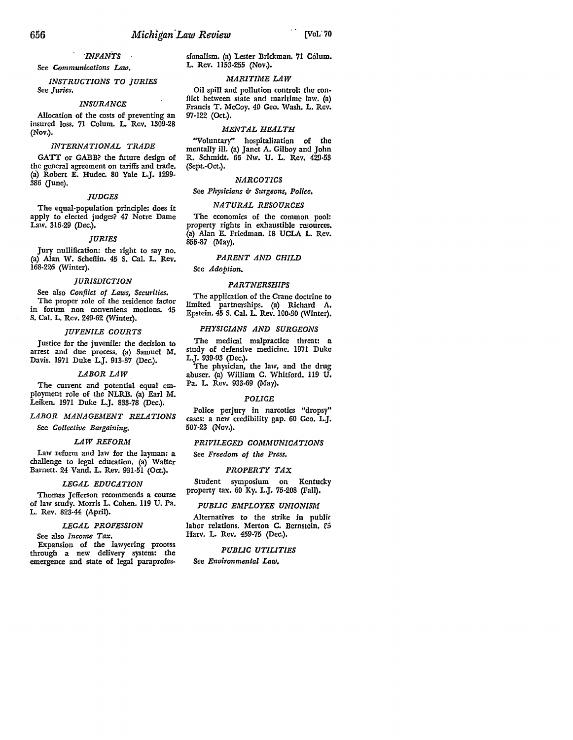## *"INFANTS*

See *Communications Law.* 

*INSTRUCTIONS TO JURIES*  See *Juries.* 

## *INSURANCE*

Allocation of the costs of preventing an insured loss. 71 Colum. L. Rev. 1309-28 (Nov.).

#### *INTERNATIONAL TRADE*

GATT or GABB? the future design of the general agreement on tariffs and trade. (a) Robert E. Hudec. 80 Yale L.J. 1299- 386 (June).

#### *JUDGES*

The equal-population principle: does it apply to elected judges? 47 Notre Dame Law. 316-29 (Dec.).

#### *JURIES*

Jury nullification: the right to say no. (a) Alan W. Scheflin. 45 S. Cal. L. Rev. 168-226 (Winter).

#### *JURISDICTION*

See also *Conflict of Laws, Securities.*  The proper role of the residence factor in forum non conveniens motions. 45 S. Cal. L. Rev. 249-62 (Winter).

#### *JUVENILE COURTS*

Justice for the juvenile: the decision to arrest and due process. (a) Samuel M. Davis. 1971 Duke L.J. 913-37 (Dec.).

#### *LABOR LAW*

The current and potential equal employment role of the NLRB. (a) Earl M. Leiken. 1971 Duke L.J. 833-78 (Dec.).

## *LABOR MANAGEMENT RELATIONS*

See *Collective Bargaining.* 

#### *LAW REFORM*

Law reform and law for the layman: a challenge to legal education. (a) Walter Barnett. 24 Vand. L. Rev. 931-51 (Oct.).

#### *LEGAL EDUCATION*

Thomas Jefferson recommends a course of law study. Morris L. Cohen. 119 U. Pa. L. Rev. 823-44 (April).

#### *LEGAL PROFESSION*

### See also *Income Tax.*

Expansion of the lawyering process through a new delivery system: the emergence and state of legal paraprofessionalism. (a) Lester Brickman. 71 Colum. L. Rev. 1153-255 (Nov.).

#### *MARITIME LAW*

Oil spill and pollution control: the conflict between state and maritime law. (a) Francis T. McCoy. 40 Geo. Wash. L. Rev. 97-122 (Oct.).

#### *MENTAL HEALTH*

"Voluntary" hospitalization of the mentally ill. (a) Janet A. Gilboy and John R. Schmidt. 66 Nw. U. L. Rev. 429•53 (Sept.-Oct.).

#### *NARCOTICS*

## See *Physicians* & Surgeons, Police.

#### *NATURAL RESOURCES*

The economics of the common pool: property rights in exhaustible resources. (a) Alan E. Friedman. 18 UCLA L. Rev. 855-87 (May).

#### *PARENT AND CHILD*

See *Adoption.* 

#### *PARTNERSHIPS*

The application of the Crane doctrine to limited partnerships. (a) Richard A. Epstein. 45 S. Cal. L. Rev. 100-30 (Winter).

#### *PHYSICIANS AND SURGEONS*

The medical malpractice threat: a study of defensive medicine. 1971 Duke L.J. 939-93 (Dec.).

The physician, the law, and the drug abuser. (a) William C. Whitford. 119 U. Pa. L. Rev. 933-69 (May).

#### *POLICE*

Police perjury in narcotics "dropsy" cases: a new credibility gap. 60 Geo. L.J. 507-23 (Nov.).

#### *PRIVILEGED COMMUNICATIONS*

See *Freedom of the Press.* 

#### *PROPERTY TAX*

Student symposium on Kentucky property tax. 60 Ky. L.J. 75-208 (Fall).

#### *PUBLIC EMPLOYEE UNIONISM.*

Alternatives to the strike in publir labor relations. Merton C. Bernstein. £5 Harv. L. Rev. 459-75 (Dec.).

## *PUBUC UTILITIES*

See *Environmental* Law.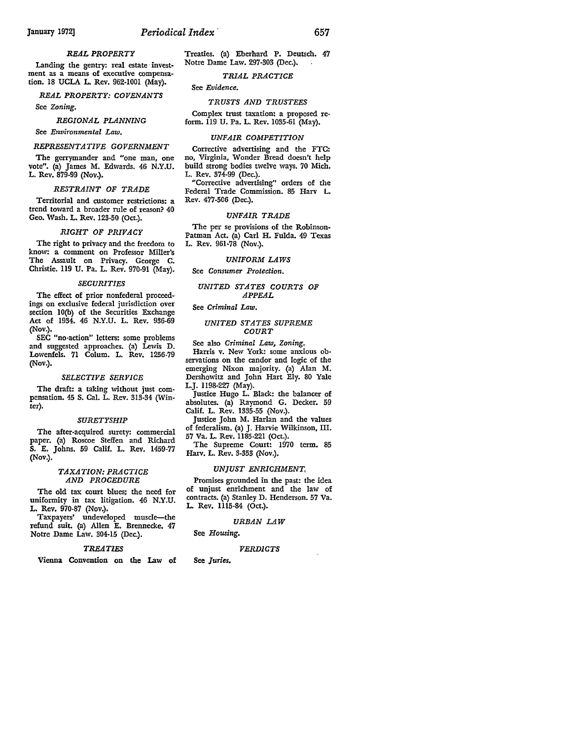## January 1972] *Periodical Index* · 657

## *REAL PROPERTY*

Landing the gentry: real estate investment as a means of executive compensation, 18 UCLA L. Rev. 962-1001 (May).

*REAL PROPERTY: COVENANTS* 

See *Zoning.* 

*REGIONAL PLANNING* 

See *Environmental Law.* 

#### *REPRESENTATIVE GOVERNMENT*

The gerrymander and "one man, one vote". (a) James M. Edwards. 46 N.Y.U. L. Rev. 879-99 (Nov.).

#### *RESTRAINT OF TRADE*

Territorial and customer restrictions: a trend toward a broader rule of reason? 40 Geo. Wash. **L.** Rev. 123-50 (Oct.).

#### *RIGHT OF PRIVACY*

The right to privacy and the freedom to know: a comment on Professor Miller's The Assault on Privacy. George **C.**  Christie. 119 U. Pa. L. Rev. 970-91 (May).

#### *SECURITIES*

The effect of prior nonfederal proceedings on exclusive federal jurisdiction over section IO(b) of the Securities Exchange Act of 1934. 46 N.Y.U. L. Rev. 936-69 (Nov.).

SEC "no-action" letters: some problems and suggested approaches. (a) Lewis D. Lowenfels. 71 Colum. L. Rev. 1256-79 (Nov.).

#### *SELECTIVE SERVICE*

The draft: a taking without just compensation. 45 S. Cal. L. Rev. 313-34 (Winter).

#### *SURETY SHIP*

The after-acquired surety: commercial paper. (a) Roscoe Steffen and Richard S. E. Johns. 59 Calif. L. Rev. 1459-77 (Nov.).

#### *TAXATION: PRACTICE AND PROCEDURE*

The old tax court blues; the need for uniformity in tax litigation. 46 N.Y.U. **L.** Rev. 970-87 (Nov.).

Taxpayers' undeveloped muscle-the refund suit. (a) Allen E. Brennecke. 47 Notre Dame Law. 304-15 (Dec.).

#### *TREATIES*

Vienna Convention on the Law of

Treaties. (a) Eberhard P. Deutsch. 47 Notre Dame Law. 297-303 (Dec.).

## *TRIAL PRACTICE*

See *Evidence.* 

## *TRUSTS AND TRUSTEES*

Complex trust taxation: a proposed reform. 119 U. Pa. L. Rev. 1035-61 (May).

#### *UNFAIR COMPETITION*

Corrective advertising and the FTC: no, Virginia, Wonder Bread doesn't help build strong bodies twelve ways. 70 Mich. L. Rev. 374-99 (Dec.).

"Corrective advertising" orders of the Federal Trade Commission. 85 Harv L. Rev. 477-506 (Dec.).

#### *UNFAIR TRADE*

The per se provisions of the Robinson-Patman Act. (a) Carl H. Fulda. 49 Texas L. Rev. 961-78 (Nov.).

#### *UNIFORM LAWS*

See *Consumer Protection.* 

#### *UNITED STATES COURTS OF APPEAL*

See *Criminal Law.* 

#### *UNITED STATES SUPREME COURT*

See also *Criminal Law, Zoning.* 

Harris v. New York: some anxious observations on the candor and logic of the emerging Nixon majority. (a) Alan M. Dershowitz and John Hart Ely. 80 Yale L.J. 1198-227 (May).

Justice Hugo L. Black: the balancer of absolutes. (a) Raymond G. Decker. 59 Calif. L. Rev. 1335-55 (Nov.).

Justice John M. Harlan and the values of federalism. (a) J. Harvie Wilkinson, III. 57 Va. L. Rev. 1185-221 (Oct.).

The Supreme Court: 1970 term. 85 Harv. L. Rev. 3-353 (Nov.).

#### *UNJUST ENRICHMENT,*

Promises grounded in the past: the idea of unjust enrichment and the law of contracts. (a) Stanley D. Henderson. 57 Va. L. Rev. 1115-84 (Oct.).

#### *URBAN LAW*

See *Housing.* 

#### *VERDICTS*

**See** *Juries.*